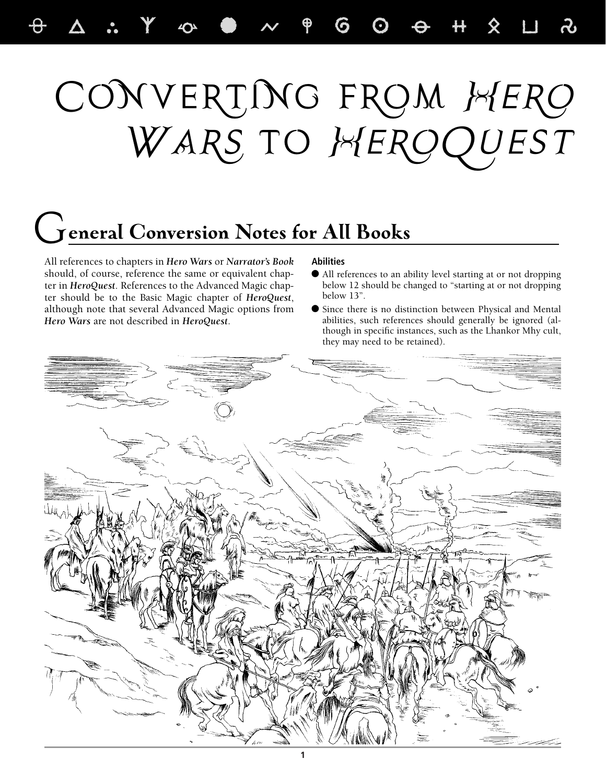# CONVERTING FROM HERO WARS TO HEROQUEST

 $\theta$  a :  $\gamma$   $\infty$   $\bullet$   $\sim$   $\theta$   $\circ$   $\circ$   $\leftrightarrow$   $\theta$   $\infty$ 

## General Conversion Notes for All Books

All references to chapters in *Hero Wars* or *Narrator's Book* should, of course, reference the same or equivalent chapter in *HeroQuest*. References to the Advanced Magic chapter should be to the Basic Magic chapter of *HeroQuest*, although note that several Advanced Magic options from *Hero Wars* are not described in *HeroQuest*.

#### **Abilities**

- 9 All references to an ability level starting at or not dropping below 12 should be changed to "starting at or not dropping below 13".
- 9 Since there is no distinction between Physical and Mental abilities, such references should generally be ignored (although in specific instances, such as the Lhankor Mhy cult, they may need to be retained).

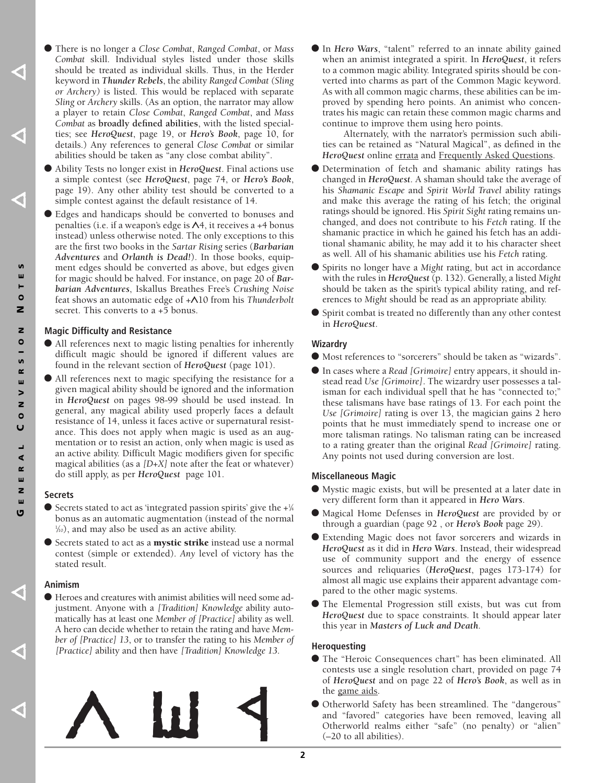- 9 There is no longer a *Close Combat*, *Ranged Combat*, or *Mass Combat* skill. Individual styles listed under those skills should be treated as individual skills. Thus, in the Herder keyword in *Thunder Rebels*, the ability *Ranged Combat (Sling or Archery)* is listed. This would be replaced with separate *Sling* or *Archery* skills. (As an option, the narrator may allow a player to retain *Close Combat*, *Ranged Combat*, and *Mass Combat* as **broadly defined abilities**, with the listed specialties; see *HeroQuest*, page 19, or *Hero's Book*, page 10, for details.) Any references to general *Close Combat* or similar abilities should be taken as "any close combat ability".
- 9 Ability Tests no longer exist in *HeroQuest*. Final actions use a simple contest (see *HeroQuest*, page 74, or *Hero's Book*, page 19). Any other ability test should be converted to a simple contest against the default resistance of 14.
- 9 Edges and handicaps should be converted to bonuses and penalties (i.e. if a weapon's edge is  $\Lambda$ 4, it receives a +4 bonus instead) unless otherwise noted. The only exceptions to this are the first two books in the *Sartar Rising* series (*Barbarian Adventures* and *Orlanth is Dead!*). In those books, equipment edges should be converted as above, but edges given for magic should be halved. For instance, on page 20 of *Barbarian Adventures*, Iskallus Breathes Free's *Crushing Noise* feat shows an automatic edge of +^10 from his *Thunderbolt* secret. This converts to a  $+5$  bonus.

#### **Magic Difficulty and Resistance**

- 9 All references next to magic listing penalties for inherently difficult magic should be ignored if different values are found in the relevant section of *HeroQuest* (page 101).
- 9 All references next to magic specifying the resistance for a given magical ability should be ignored and the information in *HeroQuest* on pages 98-99 should be used instead. In general, any magical ability used properly faces a default resistance of 14, unless it faces active or supernatural resistance. This does not apply when magic is used as an augmentation or to resist an action, only when magic is used as an active ability. Difficult Magic modifiers given for specific magical abilities (as a *[D+X]* note after the feat or whatever) do still apply, as per *HeroQuest* page 101.

#### **Secrets**

- $\bullet$  Secrets stated to act as 'integrated passion spirits' give the  $+1/4$ bonus as an automatic augmentation (instead of the normal  $\frac{1}{10}$ , and may also be used as an active ability.
- Secrets stated to act as a **mystic strike** instead use a normal contest (simple or extended). *Any* level of victory has the stated result.

#### **Animism**

aaa

**G**

**ENERAL**

₫  $\propto$ ш z ш

**C**

**ONVERSION**

**N**

z  $\bullet$ S  $\pmb{\underline{\kappa}}$ ш  $\overline{ }$  $\mathbf{z}$  $\Omega$ 

 $\circ$ 

S ш

**OTES** aaa

- 9 Heroes and creatures with animist abilities will need some adjustment. Anyone with a *[Tradition] Knowledge* ability automatically has at least one *Member of [Practice]* ability as well. A hero can decide whether to retain the rating and have *Member of [Practice] 13*, or to transfer the rating to his *Member of [Practice]* ability and then have *[Tradition] Knowledge 13*.
	- $\overline{\wedge}$  $\Lambda$   $\mu$  4

9 In *Hero Wars*, "talent" referred to an innate ability gained when an animist integrated a spirit. In *HeroQuest*, it refers to a common magic ability. Integrated spirits should be converted into charms as part of the Common Magic keyword. As with all common magic charms, these abilities can be improved by spending hero points. An animist who concentrates his magic can retain these common magic charms and continue to improve them using hero points.

Alternately, with the narrator's permission such abilities can be retained as "Natural Magical", as defined in the *HeroQuest* online [errata](http://www.HeroQuest-rpg.com/support/1001_errata.html) and [Frequently Asked Questions.](http://www.HeroQuest-rpg.com/support/hq_faq.html)

- Determination of fetch and shamanic ability ratings has changed in *HeroQuest*. A shaman should take the average of his *Shamanic Escape* and *Spirit World Travel* ability ratings and make this average the rating of his fetch; the original ratings should be ignored. His *Spirit Sight* rating remains unchanged, and does not contribute to his *Fetch* rating. If the shamanic practice in which he gained his fetch has an additional shamanic ability, he may add it to his character sheet as well. All of his shamanic abilities use his *Fetch* rating.
- 9 Spirits no longer have a *Might* rating, but act in accordance with the rules in *HeroQuest* (p. 132). Generally, a listed *Might* should be taken as the spirit's typical ability rating, and references to *Might* should be read as an appropriate ability.
- 9 Spirit combat is treated no differently than any other contest in *HeroQuest*.

#### **Wizardry**

- 9 Most references to "sorcerers" should be taken as "wizards".
- 9 In cases where a *Read [Grimoire]* entry appears, it should instead read *Use [Grimoire]*. The wizardry user possesses a talisman for each individual spell that he has "connected to;" these talismans have base ratings of 13. For each point the *Use [Grimoire]* rating is over 13, the magician gains 2 hero points that he must immediately spend to increase one or more talisman ratings. No talisman rating can be increased to a rating greater than the original *Read [Grimoire]* rating. Any points not used during conversion are lost.

#### **Miscellaneous Magic**

- 9 Mystic magic exists, but will be presented at a later date in very different form than it appeared in *Hero Wars*.
- 9 Magical Home Defenses in *HeroQuest* are provided by or through a guardian (page 92 , or *Hero's Book* page 29).
- 9 Extending Magic does not favor sorcerers and wizards in *HeroQuest* as it did in *Hero Wars*. Instead, their widespread use of community support and the energy of essence sources and reliquaries (*HeroQuest*, pages 173-174) for almost all magic use explains their apparent advantage compared to the other magic systems.
- 9 The Elemental Progression still exists, but was cut from *HeroQuest* due to space constraints. It should appear later this year in *Masters of Luck and Death*.

#### **Heroquesting**

- 9 The "Heroic Consequences chart" has been eliminated. All contests use a single resolution chart, provided on page 74 of *HeroQuest* and on page 22 of *Hero's Book*, as well as in the [game aids.](http://www.HeroQuest-rpg.com/support/GameAids.pdf)
- 9 Otherworld Safety has been streamlined. The "dangerous" and "favored" categories have been removed, leaving all Otherworld realms either "safe" (no penalty) or "alien" (–20 to all abilities).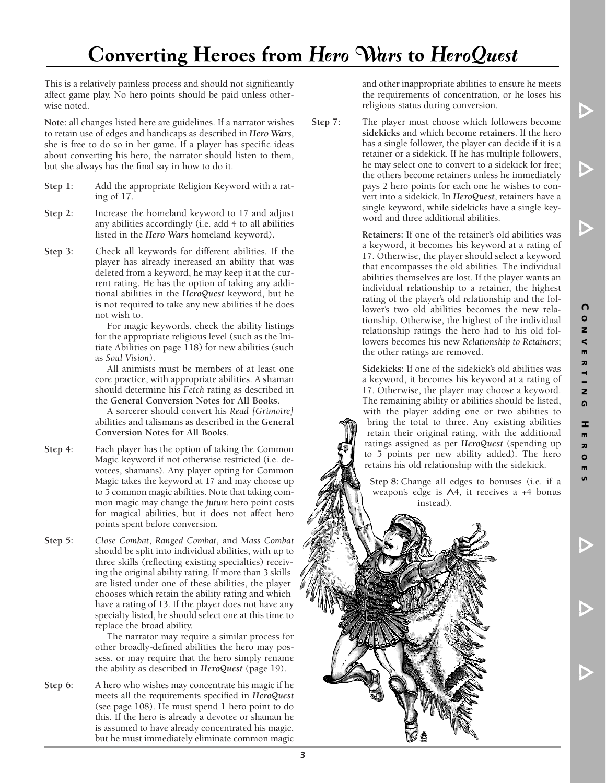This is a relatively painless process and should not significantly affect game play. No hero points should be paid unless otherwise noted.

**Note:** all changes listed here are guidelines. If a narrator wishes to retain use of edges and handicaps as described in *Hero Wars*, she is free to do so in her game. If a player has specific ideas about converting his hero, the narrator should listen to them, but she always has the final say in how to do it.

- **Step 1:** Add the appropriate Religion Keyword with a rating of 17.
- **Step 2:** Increase the homeland keyword to 17 and adjust any abilities accordingly (i.e. add 4 to all abilities listed in the *Hero Wars* homeland keyword).
- **Step 3:** Check all keywords for different abilities. If the player has already increased an ability that was deleted from a keyword, he may keep it at the current rating. He has the option of taking any additional abilities in the *HeroQuest* keyword, but he is not required to take any new abilities if he does not wish to.

For magic keywords, check the ability listings for the appropriate religious level (such as the Initiate Abilities on page 118) for new abilities (such as *Soul Vision*).

All animists must be members of at least one core practice, with appropriate abilities. A shaman should determine his *Fetch* rating as described in the **General Conversion Notes for All Books**.

A sorcerer should convert his *Read [Grimoire]* abilities and talismans as described in the **General Conversion Notes for All Books**.

- **Step 4:** Each player has the option of taking the Common Magic keyword if not otherwise restricted (i.e. devotees, shamans). Any player opting for Common Magic takes the keyword at 17 and may choose up to 5 common magic abilities. Note that taking common magic may change the *future* hero point costs for magical abilities, but it does not affect hero points spent before conversion.
- **Step 5:** *Close Combat*, *Ranged Combat*, and *Mass Combat* should be split into individual abilities, with up to three skills (reflecting existing specialties) receiving the original ability rating. If more than 3 skills are listed under one of these abilities, the player chooses which retain the ability rating and which have a rating of 13. If the player does not have any specialty listed, he should select one at this time to replace the broad ability.

The narrator may require a similar process for other broadly-defined abilities the hero may possess, or may require that the hero simply rename the ability as described in *HeroQuest* (page 19).

**Step 6:** A hero who wishes may concentrate his magic if he meets all the requirements specified in *HeroQuest* (see page 108). He must spend 1 hero point to do this. If the hero is already a devotee or shaman he is assumed to have already concentrated his magic, but he must immediately eliminate common magic

and other inappropriate abilities to ensure he meets the requirements of concentration, or he loses his religious status during conversion.

 $\begin{array}{ccc} & \triangledown & \end{array}$ 

**C**

Ō z  $\prec$ m 고  $\mathbf{I}$  $\overline{z}$ <u>ດ</u>

ONVERTING

**H**

m 고  $\bullet$  $\blacksquare$ **S** 

**EROES**

 $\triangledown$ 

**Step 7:** The player must choose which followers become **sidekicks** and which become **retainers**. If the hero has a single follower, the player can decide if it is a retainer or a sidekick. If he has multiple followers, he may select one to convert to a sidekick for free; the others become retainers unless he immediately pays 2 hero points for each one he wishes to convert into a sidekick. In *HeroQuest*, retainers have a single keyword, while sidekicks have a single keyword and three additional abilities.

> **Retainers:** If one of the retainer's old abilities was a keyword, it becomes his keyword at a rating of 17. Otherwise, the player should select a keyword that encompasses the old abilities. The individual abilities themselves are lost. If the player wants an individual relationship to a retainer, the highest rating of the player's old relationship and the follower's two old abilities becomes the new relationship. Otherwise, the highest of the individual relationship ratings the hero had to his old followers becomes his new *Relationship to Retainers*; the other ratings are removed.

> **Sidekicks:** If one of the sidekick's old abilities was a keyword, it becomes his keyword at a rating of 17. Otherwise, the player may choose a keyword. The remaining ability or abilities should be listed, with the player adding one or two abilities to bring the total to three. Any existing abilities retain their original rating, with the additional ratings assigned as per *HeroQuest* (spending up to 5 points per new ability added). The hero retains his old relationship with the sidekick.

**Step 8:** Change all edges to bonuses (i.e. if a weapon's edge is  $\Lambda$ 4, it receives a +4 bonus instead).

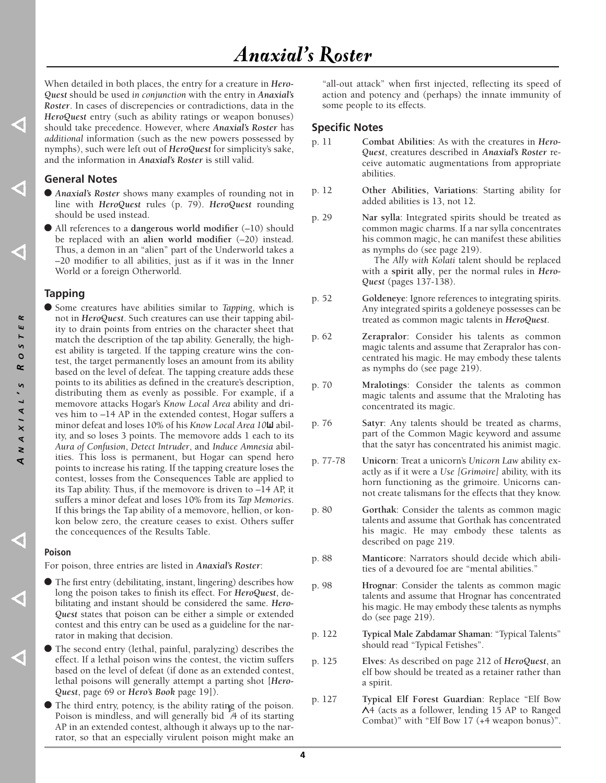When detailed in both places, the entry for a creature in *Hero-Quest* should be used *in conjunction* with the entry in *Anaxial's Roster*. In cases of discrepencies or contradictions, data in the *HeroQuest* entry (such as ability ratings or weapon bonuses) should take precedence. However, where *Anaxial's Roster* has *additional* information (such as the new powers possessed by nymphs), such were left out of *HeroQuest* for simplicity's sake, and the information in *Anaxial's Roster* is still valid.

#### **General Notes**

- 9 *Anaxial's Roster* shows many examples of rounding not in line with *HeroQuest* rules (p. 79). *HeroQuest* rounding should be used instead.
- 9 All references to a **dangerous world modifier** (–10) should be replaced with an **alien world modifier** (–20) instead. Thus, a demon in an "alien" part of the Underworld takes a –20 modifier to all abilities, just as if it was in the Inner World or a foreign Otherworld.

#### **Tapping**

9 Some creatures have abilities similar to *Tapping*, which is not in *HeroQuest*. Such creatures can use their tapping ability to drain points from entries on the character sheet that match the description of the tap ability. Generally, the highest ability is targeted. If the tapping creature wins the contest, the target permanently loses an amount from its ability based on the level of defeat. The tapping creature adds these points to its abilities as defined in the creature's description, distributing them as evenly as possible. For example, if a memovore attacks Hogar's *Know Local Area* ability and drives him to –14 AP in the extended contest, Hogar suffers a minor defeat and loses 10% of his *Know Local Area 10*W ability, and so loses 3 points. The memovore adds 1 each to its *Aura of Confusion*, *Detect Intruder*, and *Induce Amnesia* abilities. This loss is permanent, but Hogar can spend hero points to increase his rating. If the tapping creature loses the contest, losses from the Consequences Table are applied to its Tap ability. Thus, if the memovore is driven to –14 AP, it suffers a minor defeat and loses 10% from its *Tap Memories*. If this brings the Tap ability of a memovore, hellion, or konkon below zero, the creature ceases to exist. Others suffer the concequences of the Results Table.

#### **Poison**

aaa

*A NAXIAL ' S*

 $X I A$ ⋖ z  $\blacktriangleleft$ 

*R*

 $\mathsf{S}$  $\overline{a}$ 

 $\approx$  $\overline{\mathbf{r}}$  $\overline{r}$  $\mathbf{v}$  $\circ$ 

ROSTER A A

For poison, three entries are listed in *Anaxial's Roster*:

- 9 The first entry (debilitating, instant, lingering) describes how long the poison takes to finish its effect. For *HeroQuest*, debilitating and instant should be considered the same. *Hero-Quest* states that poison can be either a simple or extended contest and this entry can be used as a guideline for the narrator in making that decision.
- The second entry (lethal, painful, paralyzing) describes the effect. If a lethal poison wins the contest, the victim suffers based on the level of defeat (if done as an extended contest, lethal poisons will generally attempt a parting shot [*Hero-Quest*, page 69 or *Hero's Book* page 19]).
- 9 The third entry, potency, is the ability rating of the poison. Fire third entry, potency, is the ability rating of the poison.<br>Poison is mindless, and will generally bid *A* of its starting AP in an extended contest, although it always up to the narrator, so that an especially virulent poison might make an

"all-out attack" when first injected, reflecting its speed of action and potency and (perhaps) the innate immunity of some people to its effects.

#### **Specific Notes**

- p. 11 **Combat Abilities**: As with the creatures in *Hero-Quest*, creatures described in *Anaxial's Roster* receive automatic augmentations from appropriate abilities.
- p. 12 **Other Abilities, Variations**: Starting ability for added abilities is 13, not 12.
- p. 29 **Nar sylla**: Integrated spirits should be treated as common magic charms. If a nar sylla concentrates his common magic, he can manifest these abilities as nymphs do (see page 219).

The *Ally with Kolati* talent should be replaced with a **spirit ally**, per the normal rules in *Hero-Quest* (pages 137-138).

- p. 52 **Goldeneye**: Ignore references to integrating spirits. Any integrated spirits a goldeneye possesses can be treated as common magic talents in *HeroQuest*.
- p. 62 **Zerapralor**: Consider his talents as common magic talents and assume that Zerapralor has concentrated his magic. He may embody these talents as nymphs do (see page 219).
- p. 70 **Mralotings**: Consider the talents as common magic talents and assume that the Mraloting has concentrated its magic.
- p. 76 **Satyr**: Any talents should be treated as charms, part of the Common Magic keyword and assume that the satyr has concentrated his animist magic.
- p. 77-78 **Unicorn**: Treat a unicorn's *Unicorn Law* ability exactly as if it were a *Use [Grimoire]* ability, with its horn functioning as the grimoire. Unicorns cannot create talismans for the effects that they know.
- p. 80 **Gorthak**: Consider the talents as common magic talents and assume that Gorthak has concentrated his magic. He may embody these talents as described on page 219.
- p. 88 **Manticore**: Narrators should decide which abilities of a devoured foe are "mental abilities."
- p. 98 **Hrognar**: Consider the talents as common magic talents and assume that Hrognar has concentrated his magic. He may embody these talents as nymphs do (see page 219).
- p. 122 **Typical Male Zabdamar Shaman**: "Typical Talents" should read "Typical Fetishes".
- p. 125 **Elves**: As described on page 212 of *HeroQuest*, an elf bow should be treated as a retainer rather than a spirit.
- p. 127 **Typical Elf Forest Guardian**: Replace "Elf Bow  $\Lambda$ 4 (acts as a follower, lending 15 AP to Ranged Combat)" with "Elf Bow 17 (+4 weapon bonus)".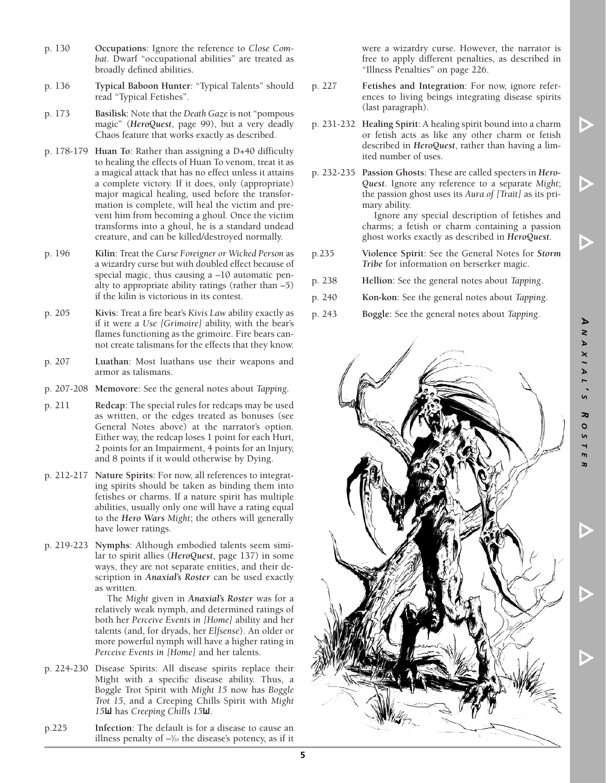- p. 130 **Occupations**: Ignore the reference to *Close Combat*. Dwarf "occupational abilities" are treated as broadly defined abilities.
- p. 136 **Typical Baboon Hunter**: "Typical Talents" should read "Typical Fetishes".
- p. 173 **Basilisk**: Note that the *Death Gaze* is not "pompous magic" (*HeroQuest*, page 99), but a very deadly Chaos feature that works exactly as described.
- p. 178-179 **Huan To**: Rather than assigning a D+40 difficulty to healing the effects of Huan To venom, treat it as a magical attack that has no effect unless it attains a complete victory. If it does, only (appropriate) major magical healing, used before the transformation is complete, will heal the victim and prevent him from becoming a ghoul. Once the victim transforms into a ghoul, he is a standard undead creature, and can be killed/destroyed normally.
- p. 196 **Kilin**: Treat the *Curse Foreigner or Wicked Person* as a wizardry curse but with doubled effect because of special magic, thus causing a –10 automatic penalty to appropriate ability ratings (rather than  $-5$ ) if the kilin is victorious in its contest.
- p. 205 **Kivis**: Treat a fire bear's *Kivis Law* ability exactly as if it were a *Use [Grimoire]* ability, with the bear's flames functioning as the grimoire. Fire bears cannot create talismans for the effects that they know.
- p. 207 **Luathan**: Most luathans use their weapons and armor as talismans.
- p. 207-208 **Memovore**: See the general notes about *Tapping*.
- p. 211 **Redcap**: The special rules for redcaps may be used as written, or the edges treated as bonuses (see General Notes above) at the narrator's option. Either way, the redcap loses 1 point for each Hurt, 2 points for an Impairment, 4 points for an Injury, and 8 points if it would otherwise by Dying.
- p. 212-217 **Nature Spirits**: For now, all references to integrating spirits should be taken as binding them into fetishes or charms. If a nature spirit has multiple abilities, usually only one will have a rating equal to the *Hero Wars Might*; the others will generally have lower ratings.
- p. 219-223 **Nymphs**: Although embodied talents seem similar to spirit allies (*HeroQuest*, page 137) in some ways, they are not separate entities, and their description in *Anaxial's Roster* can be used exactly as written.

The *Might* given in *Anaxial's Roster* was for a relatively weak nymph, and determined ratings of both her *Perceive Events in [Home]* ability and her talents (and, for dryads, her *Elfsense*). An older or more powerful nymph will have a higher rating in *Perceive Events in [Home]* and her talents.

- p. 224-230 Disease Spirits: All disease spirits replace their Might with a specific disease ability. Thus, a Boggle Trot Spirit with *Might 15* now has *Boggle Trot 15*, and a Creeping Chills Spirit with *Might 15*W has *Creeping Chills 15*W.
- p.225 **Infection**: The default is for a disease to cause an illness penalty of  $-\frac{1}{10}$  the disease's potency, as if it

were a wizardry curse. However, the narrator is free to apply different penalties, as described in "Illness Penalties" on page 226.

- p. 227 **Fetishes and Integration**: For now, ignore references to living beings integrating disease spirits (last paragraph).
- p. 231-232 **Healing Spirit**: A healing spirit bound into a charm or fetish acts as like any other charm or fetish described in *HeroQuest*, rather than having a limited number of uses.
- p. 232-235 **Passion Ghosts**: These are called specters in *Hero-Quest*. Ignore any reference to a separate *Might*; the passion ghost uses its *Aura of [Trait]* as its primary ability.

Ignore any special description of fetishes and charms; a fetish or charm containing a passion ghost works exactly as described in *HeroQuest*.

 $\begin{array}{ccc} & \triangledown & \end{array}$ 

*A*

z A

*NAXIAL*

**AIA** 

*'*  $\mathbf{v}$ *R*

*OSTER*

 $\circ$  $\mathbf{v}$  $\overline{a}$  $\mathbf{z}$ 

 $\Delta$ 

- p.235 **Violence Spirit**: See the General Notes for *Storm Tribe* for information on berserker magic.
- p. 238 **Hellion**: See the general notes about *Tapping*.
- p. 240 **Kon-kon**: See the general notes about *Tapping*.
- p. 243 **Boggle**: See the general notes about *Tapping*.

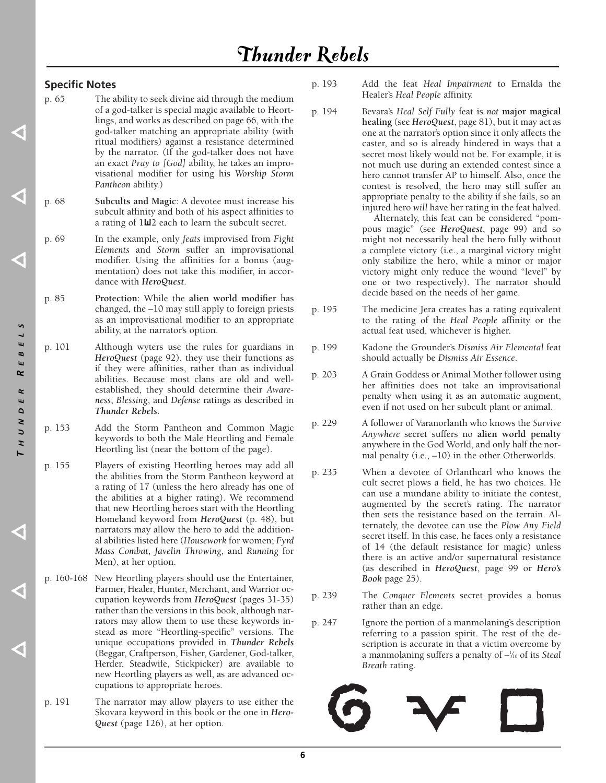#### **Specific Notes**

- p. 65 The ability to seek divine aid through the medium of a god-talker is special magic available to Heortlings, and works as described on page 66, with the god-talker matching an appropriate ability (with ritual modifiers) against a resistance determined by the narrator. (If the god-talker does not have an exact *Pray to [God]* ability, he takes an improvisational modifier for using his *Worship Storm Pantheon* ability.)
- p. 68 **Subcults and Magic**: A devotee must increase his subcult affinity and both of his aspect affinities to a rating of 1W2 each to learn the subcult secret.
- p. 69 In the example, only *feats* improvised from *Fight Elements* and *Storm* suffer an improvisational modifier. Using the affinities for a bonus (augmentation) does not take this modifier, in accordance with *HeroQuest*.
- p. 85 **Protection**: While the **alien world modifier** has changed, the –10 may still apply to foreign priests as an improvisational modifier to an appropriate ability, at the narrator's option.
- p. 101 Although wyters use the rules for guardians in *HeroQuest* (page 92), they use their functions as if they were affinities, rather than as individual abilities. Because most clans are old and wellestablished, they should determine their *Awareness*, *Blessing*, and *Defense* ratings as described in *Thunder Rebels*.
- p. 153 Add the Storm Pantheon and Common Magic keywords to both the Male Heortling and Female Heortling list (near the bottom of the page).
- p. 155 Players of existing Heortling heroes may add all the abilities from the Storm Pantheon keyword at a rating of 17 (unless the hero already has one of the abilities at a higher rating). We recommend that new Heortling heroes start with the Heortling Homeland keyword from *HeroQuest* (p. 48), but narrators may allow the hero to add the additional abilities listed here (*Housework* for women; *Fyrd Mass Combat*, *Javelin Throwing*, and *Running* for Men), at her option.
- p. 160-168 New Heortling players should use the Entertainer, Farmer, Healer, Hunter, Merchant, and Warrior occupation keywords from *HeroQuest* (pages 31-35) rather than the versions in this book, although narrators may allow them to use these keywords instead as more "Heortling-specific" versions. The unique occupations provided in *Thunder Rebels* (Beggar, Craftperson, Fisher, Gardener, God-talker, Herder, Steadwife, Stickpicker) are available to new Heortling players as well, as are advanced occupations to appropriate heroes.

aaa

**T** 

*HUNDER*

*R*

 $\approx$ Ш D z C H

n Щ  $\mathbf{B}$  $\overline{a}$ 

*EBELS* aaa

p. 191 The narrator may allow players to use either the Skovara keyword in this book or the one in *Hero-Quest* (page 126), at her option.

- p. 193 Add the feat *Heal Impairment* to Ernalda the Healer's *Heal People* affinity.
- p. 194 Bevara's *Heal Self Fully* feat is *not* **major magical healing** (see *HeroQuest*, page 81), but it may act as one at the narrator's option since it only affects the caster, and so is already hindered in ways that a secret most likely would not be. For example, it is not much use during an extended contest since a hero cannot transfer AP to himself. Also, once the contest is resolved, the hero may still suffer an appropriate penalty to the ability if she fails, so an injured hero *will* have her rating in the feat halved.

Alternately, this feat can be considered "pompous magic" (see *HeroQuest*, page 99) and so might not necessarily heal the hero fully without a complete victory (i.e., a marginal victory might only stabilize the hero, while a minor or major victory might only reduce the wound "level" by one or two respectively). The narrator should decide based on the needs of her game.

- p. 195 The medicine Jera creates has a rating equivalent to the rating of the *Heal People* affinity or the actual feat used, whichever is higher.
- p. 199 Kadone the Grounder's *Dismiss Air Elemental* feat should actually be *Dismiss Air Essence*.
- p. 203 A Grain Goddess or Animal Mother follower using her affinities does not take an improvisational penalty when using it as an automatic augment, even if not used on her subcult plant or animal.
- p. 229 A follower of Varanorlanth who knows the *Survive Anywhere* secret suffers no **alien world penalty** anywhere in the God World, and only half the normal penalty (i.e., –10) in the other Otherworlds.
- p. 235 When a devotee of Orlanthcarl who knows the cult secret plows a field, he has two choices. He can use a mundane ability to initiate the contest, augmented by the secret's rating. The narrator then sets the resistance based on the terrain. Alternately, the devotee can use the *Plow Any Field* secret itself. In this case, he faces only a resistance of 14 (the default resistance for magic) unless there is an active and/or supernatural resistance (as described in *HeroQuest*, page 99 or *Hero's Book* page 25).
- p. 239 The *Conquer Elements* secret provides a bonus rather than an edge.
- p. 247 Ignore the portion of a manmolaning's description referring to a passion spirit. The rest of the description is accurate in that a victim overcome by a manmolaning suffers a penalty of –1 ⁄10 of its *Steal Breath* rating.



**6**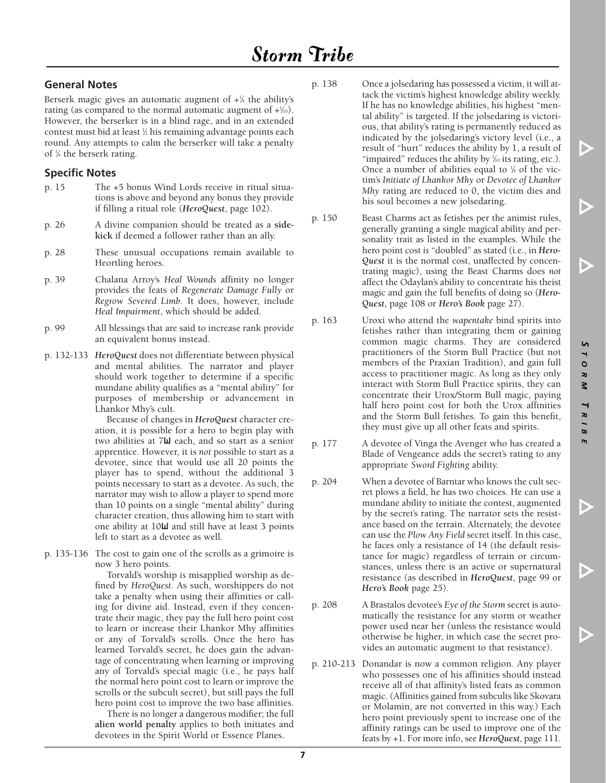#### **General Notes**

Berserk magic gives an automatic augment of +1 ⁄4 the ability's rating (as compared to the normal automatic augment of +½0). However, the berserker is in a blind rage, and in an extended contest must bid at least 1 ⁄2 his remaining advantage points each round. Any attempts to calm the berserker will take a penalty of 1 ⁄4 the berserk rating.

#### **Specific Notes**

- p. 15 The +5 bonus Wind Lords receive in ritual situations is above and beyond any bonus they provide if filling a ritual role (*HeroQuest*, page 102).
- p. 26 A divine companion should be treated as a **sidekick** if deemed a follower rather than an ally.
- p. 28 These unusual occupations remain available to Heortling heroes.
- p. 39 Chalana Arroy's *Heal Wounds* affinity no longer provides the feats of *Regenerate Damage Fully* or *Regrow Severed Limb*. It does, however, include *Heal Impairment*, which should be added.
- p. 99 All blessings that are said to increase rank provide an equivalent bonus instead.
- p. 132-133 *HeroQuest* does not differentiate between physical and mental abilities. The narrator and player should work together to determine if a specific mundane ability qualifies as a "mental ability" for purposes of membership or advancement in Lhankor Mhy's cult.

Because of changes in *HeroQuest* character creation, it *is* possible for a hero to begin play with two abilities at 7 $\mu$  each, and so start as a senior apprentice. However, it is *not* possible to start as a devotee, since that would use all 20 points the player has to spend, without the additional 3 points necessary to start as a devotee. As such, the narrator may wish to allow a player to spend more than 10 points on a single "mental ability" during character creation, thus allowing him to start with one ability at 10W and still have at least 3 points left to start as a devotee as well.

p. 135-136 The cost to gain one of the scrolls as a grimoire is now 3 hero points.

> Torvald's worship *is* misapplied worship as defined by *HeroQuest*. As such, worshippers do not take a penalty when using their affinities or calling for divine aid. Instead, even if they concentrate their magic, they pay the full hero point cost to learn or increase their Lhankor Mhy affinities or any of Torvald's scrolls. Once the hero has learned Torvald's secret, he does gain the advantage of concentrating when learning or improving any of Torvald's special magic (i.e., he pays half the normal hero point cost to learn or improve the scrolls or the subcult secret), but still pays the full hero point cost to improve the two base affinities.

> There is no longer a dangerous modifier; the full **alien world penalty** applies to both initiates and devotees in the Spirit World or Essence Planes.

- p. 138 Once a jolsedaring has possessed a victim, it will attack the victim's highest knowledge ability weekly. If he has no knowledge abilities, his highest "mental ability" is targeted. If the jolsedaring is victorious, that ability's rating is permanently reduced as indicated by the jolsedaring's victory level (i.e., a result of "hurt" reduces the ability by 1, a result of "impaired" reduces the ability by  $\frac{1}{10}$  its rating, etc.). Once a number of abilities equal to  $\frac{1}{4}$  of the victim's *Initiate of Lhankor Mhy* or *Devotee of Lhankor Mhy* rating are reduced to 0, the victim dies and his soul becomes a new jolsedaring.
- p. 150 Beast Charms act as fetishes per the animist rules, generally granting a single magical ability and personality trait as listed in the examples. While the hero point cost *is* "doubled" as stated (i.e., in *Hero-Quest* it is the normal cost, unaffected by concentrating magic), using the Beast Charms does *not* affect the Odaylan's ability to concentrate his theist magic and gain the full benefits of doing so (*Hero-Quest*, page 108 or *Hero's Book* page 27).
- p. 163 Uroxi who attend the *wapentake* bind spirits into fetishes rather than integrating them or gaining common magic charms. They are considered practitioners of the Storm Bull Practice (but not members of the Praxian Tradition), and gain full access to practitioner magic. As long as they only interact with Storm Bull Practice spirits, they can concentrate their Urox/Storm Bull magic, paying half hero point cost for both the Urox affinities and the Storm Bull fetishes. To gain this benefit, they must give up all other feats and spirits.
- p. 177 A devotee of Vinga the Avenger who has created a Blade of Vengeance adds the secret's rating to any appropriate *Sword Fighting* ability.
- p. 204 When a devotee of Barntar who knows the cult secret plows a field, he has two choices. He can use a mundane ability to initiate the contest, augmented by the secret's rating. The narrator sets the resistance based on the terrain. Alternately, the devotee can use the *Plow Any Field* secret itself. In this case, he faces only a resistance of 14 (the default resistance for magic) regardless of terrain or circumstances, unless there is an active or supernatural resistance (as described in *HeroQuest*, page 99 or *Hero's Book* page 25).
- p. 208 A Brastalos devotee's *Eye of the Storm* secret is automatically the resistance for any storm or weather power used near her (unless the resistance would otherwise be higher, in which case the secret provides an automatic augment to that resistance).
- p. 210-213 Donandar is now a common religion. Any player who possesses one of his affinities should instead receive all of that affinity's listed feats as common magic. (Affinities gained from subcults like Skovara or Molamin, are not converted in this way.) Each hero point previously spent to increase one of the affinity ratings can be used to improve one of the feats by +1. For more info, see *HeroQuest*, page 111.

 $\Delta$ 

 $\begin{array}{ccc} & \triangledown & \end{array}$